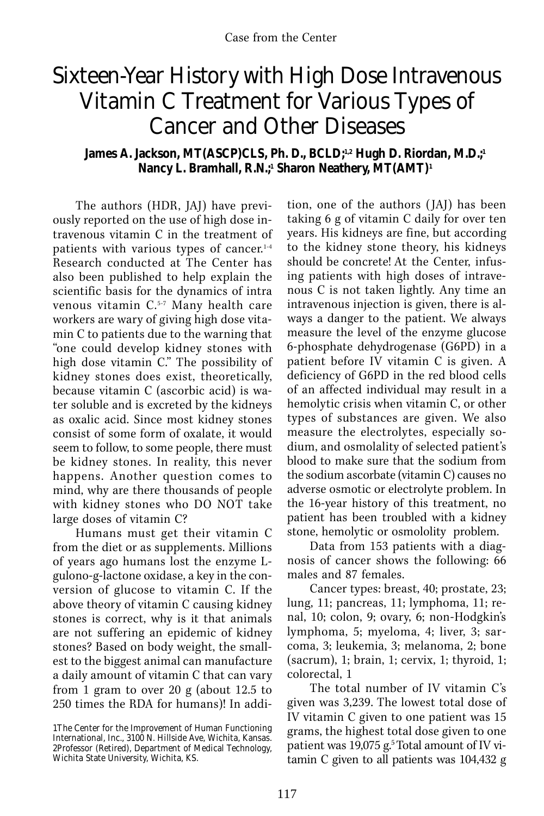## Sixteen-Year History with High Dose Intravenous Vitamin C Treatment for Various Types of Cancer and Other Diseases

## James A. Jackson, MT(ASCP)CLS, Ph. D., BCLD;<sup>1,2</sup> Hugh D. Riordan, M.D.;<sup>1</sup> **Nancy L. Bramhall, R.N.;1 Sharon Neathery, MT(AMT)1**

The authors (HDR, JAJ) have previously reported on the use of high dose intravenous vitamin C in the treatment of patients with various types of cancer. 1-4 Research conducted at The Center has also been published to help explain the scientific basis for the dynamics of intra venous vitamin C.5-7 Many health care workers are wary of giving high dose vitamin C to patients due to the warning that "one could develop kidney stones with high dose vitamin C." The possibility of kidney stones does exist, theoretically, because vitamin C (ascorbic acid) is water soluble and is excreted by the kidneys as oxalic acid. Since most kidney stones consist of some form of oxalate, it would seem to follow, to some people, there must be kidney stones. In reality, this never happens. Another question comes to mind, why are there thousands of people with kidney stones who DO NOT take large doses of vitamin C?

Humans must get their vitamin C from the diet or as supplements. Millions of years ago humans lost the enzyme Lgulono-g-lactone oxidase, a key in the conversion of glucose to vitamin C. If the above theory of vitamin C causing kidney stones is correct, why is it that animals are not suffering an epidemic of kidney stones? Based on body weight, the smallest to the biggest animal can manufacture a daily amount of vitamin C that can vary from 1 gram to over 20 g (about 12.5 to 250 times the RDA for humans)! In addi-

tion, one of the authors (JAJ) has been taking 6 g of vitamin C daily for over ten years. His kidneys are fine, but according to the kidney stone theory, his kidneys should be concrete! At the Center, infusing patients with high doses of intravenous C is not taken lightly. Any time an intravenous injection is given, there is always a danger to the patient. We always measure the level of the enzyme glucose 6-phosphate dehydrogenase (G6PD) in a patient before IV vitamin C is given. A deficiency of G6PD in the red blood cells of an affected individual may result in a hemolytic crisis when vitamin C, or other types of substances are given. We also measure the electrolytes, especially sodium, and osmolality of selected patient's blood to make sure that the sodium from the sodium ascorbate (vitamin C) causes no adverse osmotic or electrolyte problem. In the 16-year history of this treatment, no patient has been troubled with a kidney stone, hemolytic or osmololity problem.

Data from 153 patients with a diagnosis of cancer shows the following: 66 males and 87 females.

Cancer types: breast, 40; prostate, 23; lung, 11; pancreas, 11; lymphoma, 11; renal, 10; colon, 9; ovary, 6; non-Hodgkin's lymphoma, 5; myeloma, 4; liver, 3; sarcoma, 3; leukemia, 3; melanoma, 2; bone (sacrum), 1; brain, 1; cervix, 1; thyroid, 1; colorectal, 1

The total number of IV vitamin C's given was 3,239. The lowest total dose of IV vitamin C given to one patient was 15 grams, the highest total dose given to one patient was 19,075 g.<sup>5</sup> Total amount of IV vitamin C given to all patients was 104,432 g

<sup>1</sup>The Center for the Improvement of Human Functioning International, Inc., 3100 N. Hillside Ave, Wichita, Kansas. 2Professor (Retired), Department of Medical Technology, Wichita State University, Wichita, KS.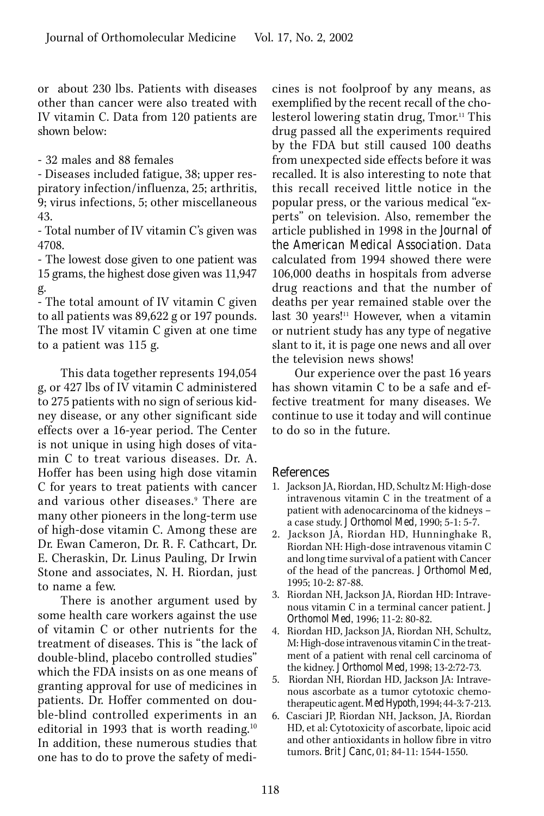or about 230 lbs. Patients with diseases other than cancer were also treated with IV vitamin C. Data from 120 patients are shown below:

- 32 males and 88 females

- Diseases included fatigue, 38; upper res piratory infection/influenza, 25; arthritis, 9; virus infections, 5; other miscellaneous 43.

- Total number of IV vitamin C's given was 4708.

- The lowest dose given to one patient was 15 grams, the highest dose given was 11,947 g.

- The total amount of IV vitamin C given to all patients was 89,622 g or 197 pounds. The most IV vitamin C given at one time to a patient was 115 g.

This data together represents 194,054 g, or 427 lbs of IV vitamin C administered to 275 patients with no sign of serious kidney disease, or any other significant side effects over a 16-year period. The Center is not unique in using high doses of vitamin C to treat various diseases. Dr. A. Hoffer has been using high dose vitamin C for years to treat patients with cancer and various other diseases.9 There are many other pioneers in the long-term use of high-dose vitamin C. Among these are Dr. Ewan Cameron, Dr. R. F. Cathcart, Dr. E. Cheraskin, Dr. Linus Pauling, Dr Irwin Stone and associates, N. H. Riordan, just to name a few.

There is another argument used by some health care workers against the use of vitamin C or other nutrients for the treatment of diseases. This is "the lack of double-blind, placebo controlled studies" which the FDA insists on as one means of granting approval for use of medicines in patients. Dr. Hoffer commented on double-blind controlled experiments in an editorial in 1993 that is worth reading.<sup>10</sup> In addition, these numerous studies that one has to do to prove the safety of medicines is not foolproof by any means, as exemplified by the recent recall of the cholesterol lowering statin drug, Tmor. 11 This drug passed all the experiments required by the FDA but still caused 100 deaths from unexpected side effects before it was recalled. It is also interesting to note that this recall received little notice in the popular press, or the various medical "experts" on television. Also, remember the article published in 1998 in the *Journal of the American Medical Association.* Data calculated from 1994 showed there were 106,000 deaths in hospitals from adverse drug reactions and that the number of deaths per year remained stable over the last 30 years!<sup>11</sup> However, when a vitamin or nutrient study has any type of negative slant to it, it is page one news and all over the television news shows!

Our experience over the past 16 years has shown vitamin C to be a safe and effective treatment for many diseases. We continue to use it today and will continue to do so in the future.

## References

- 1. Jackson JA, Riordan, HD, Schultz M: High-dose intravenous vitamin C in the treatment of a patient with adenocarcinoma of the kidneys – a case study. *J Orthomol Med,* 1990; 5-1: 5-7.
- 2. Jackson JA, Riordan HD, Hunninghake R, Riordan NH: High-dose intravenous vitamin C and long time survival of a patient with Cancer of the head of the pancreas. *J Orthomol Med,*  1995; 10-2: 87-88.
- 3. Riordan NH, Jackson JA, Riordan HD: Intravenous vitamin C in a terminal cancer patient. *J Orthomol Med*, 1996; 11-2: 80-82.
- 4. Riordan HD, Jackson JA, Riordan NH, Schultz, M: High-dose intravenous vitamin C in the treatment of a patient with renal cell carcinoma of the kidney. *J Orthomol Med,* 1998; 13-2:72-73.
- 5. Riordan NH, Riordan HD, Jackson JA: Intravenous ascorbate as a tumor cytotoxic chemotherapeutic agent. *Med Hypoth,* 1994; 44-3: 7-213.
- 6. Casciari JP, Riordan NH, Jackson, JA, Riordan HD, et al: Cytotoxicity of ascorbate, lipoic acid and other antioxidants in hollow fibre in vitro tumors. *Brit J Canc,* 01; 84-11: 1544-1550.